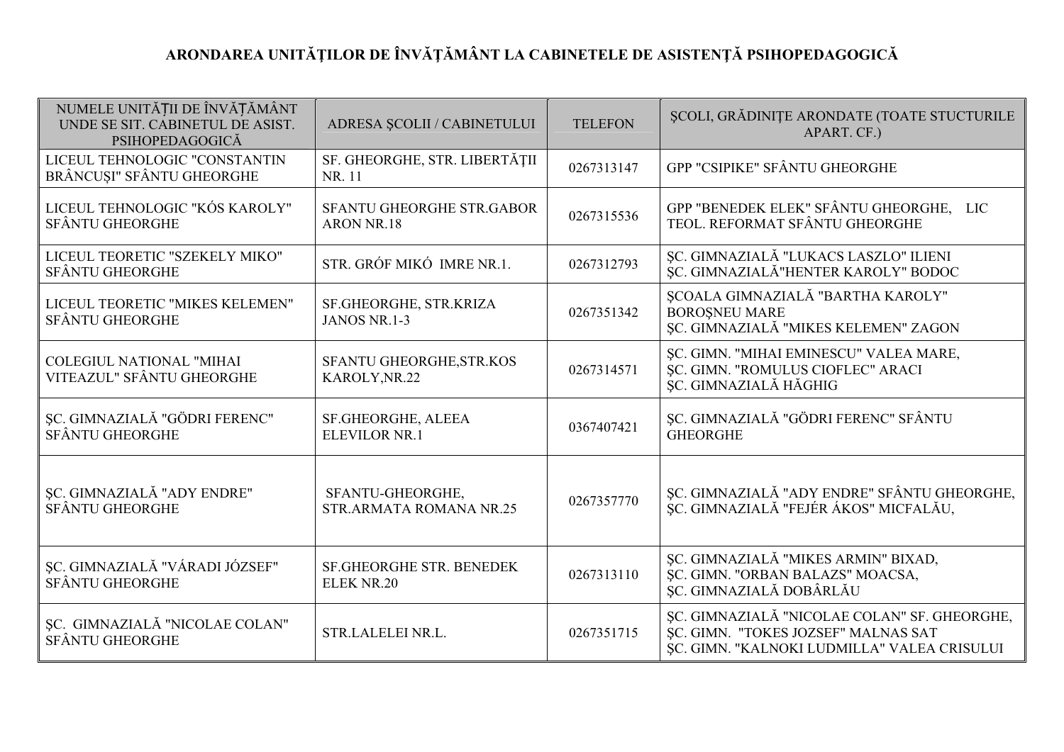## ARONDAREA UNITĂȚILOR DE ÎNVĂȚĂMÂNT LA CABINETELE DE ASISTENȚĂ PSIHOPEDAGOGICĂ

| NUMELE UNITĂȚII DE ÎNVĂȚĂMÂNT<br>UNDE SE SIT. CABINETUL DE ASIST.<br>PSIHOPEDAGOGICĂ | ADRESA ȘCOLII / CABINETULUI                        | <b>TELEFON</b> | SCOLI, GRĂDINIȚE ARONDATE (TOATE STUCTURILE<br>APART. CF.)                                                                         |
|--------------------------------------------------------------------------------------|----------------------------------------------------|----------------|------------------------------------------------------------------------------------------------------------------------------------|
| LICEUL TEHNOLOGIC "CONSTANTIN<br>BRÂNCUȘI" SFÂNTU GHEORGHE                           | SF. GHEORGHE, STR. LIBERTĂȚII<br>NR. 11            | 0267313147     | GPP "CSIPIKE" SFÂNTU GHEORGHE                                                                                                      |
| LICEUL TEHNOLOGIC "KÓS KAROLY"<br><b>SFÂNTU GHEORGHE</b>                             | SFANTU GHEORGHE STR.GABOR<br><b>ARON NR.18</b>     | 0267315536     | GPP "BENEDEK ELEK" SFÂNTU GHEORGHE, LIC<br>TEOL. REFORMAT SFÂNTU GHEORGHE                                                          |
| LICEUL TEORETIC "SZEKELY MIKO"<br><b>SFÂNTU GHEORGHE</b>                             | STR. GRÓF MIKÓ IMRE NR.1.                          | 0267312793     | ȘC. GIMNAZIALĂ "LUKACS LASZLO" ILIENI<br>ŞC. GIMNAZIALĂ "HENTER KAROLY" BODOC                                                      |
| LICEUL TEORETIC "MIKES KELEMEN"<br><b>SFÂNTU GHEORGHE</b>                            | SF.GHEORGHE, STR.KRIZA<br>JANOS NR.1-3             | 0267351342     | ȘCOALA GIMNAZIALĂ "BARTHA KAROLY"<br><b>BOROSNEU MARE</b><br>ŞC. GIMNAZIALĂ "MIKES KELEMEN" ZAGON                                  |
| <b>COLEGIUL NATIONAL "MIHAI</b><br>VITEAZUL" SFÂNTU GHEORGHE                         | SFANTU GHEORGHE, STR.KOS<br>KAROLY, NR.22          | 0267314571     | ŞC. GIMN. "MIHAI EMINESCU" VALEA MARE,<br>SC. GIMN. "ROMULUS CIOFLEC" ARACI<br>ȘC. GIMNAZIALĂ HĂGHIG                               |
| SC. GIMNAZIALĂ "GÖDRI FERENC"<br>SFÂNTU GHEORGHE                                     | SF.GHEORGHE, ALEEA<br><b>ELEVILOR NR.1</b>         | 0367407421     | ŞC. GIMNAZIALĂ "GÖDRI FERENC" SFÂNTU<br><b>GHEORGHE</b>                                                                            |
| SC. GIMNAZIALĂ "ADY ENDRE"<br>SFÂNTU GHEORGHE                                        | SFANTU-GHEORGHE,<br><b>STR.ARMATA ROMANA NR.25</b> | 0267357770     | ȘC. GIMNAZIALĂ "ADY ENDRE" SFÂNTU GHEORGHE,<br>SC. GIMNAZIALĂ "FEJÉR ÁKOS" MICFALĂU,                                               |
| SC. GIMNAZIALĂ "VÁRADI JÓZSEF"<br><b>SFÂNTU GHEORGHE</b>                             | SF.GHEORGHE STR. BENEDEK<br><b>ELEK NR.20</b>      | 0267313110     | ŞC. GIMNAZIALĂ "MIKES ARMIN" BIXAD,<br>SC. GIMN. "ORBAN BALAZS" MOACSA,<br>ŞC. GIMNAZIALĂ DOBÂRLĂU                                 |
| SC. GIMNAZIALĂ "NICOLAE COLAN"<br><b>SFÂNTU GHEORGHE</b>                             | STR.LALELEI NR.L.                                  | 0267351715     | ȘC. GIMNAZIALĂ "NICOLAE COLAN" SF. GHEORGHE,<br>SC. GIMN. "TOKES JOZSEF" MALNAS SAT<br>ŞC. GIMN. "KALNOKI LUDMILLA" VALEA CRISULUI |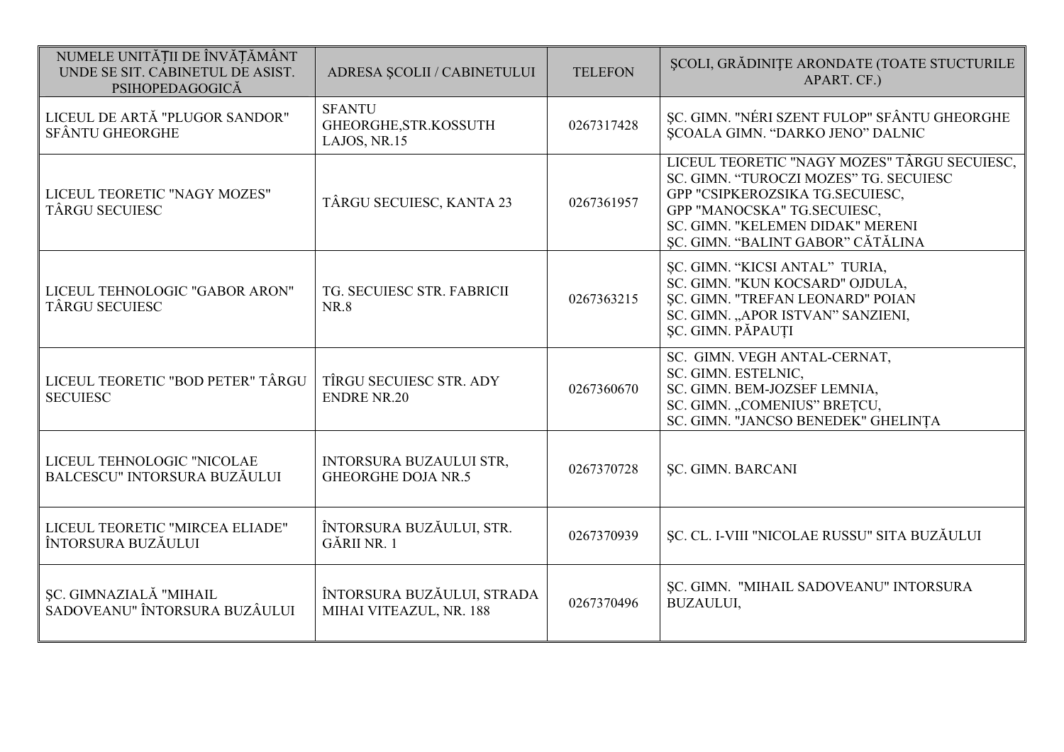| NUMELE UNITĂȚII DE ÎNVĂȚĂMÂNT<br>UNDE SE SIT. CABINETUL DE ASIST.<br>PSIHOPEDAGOGICĂ | ADRESA ȘCOLII / CABINETULUI                                 | <b>TELEFON</b> | ȘCOLI, GRĂDINIȚE ARONDATE (TOATE STUCTURILE<br>APART. CF.)                                                                                                                                                                        |
|--------------------------------------------------------------------------------------|-------------------------------------------------------------|----------------|-----------------------------------------------------------------------------------------------------------------------------------------------------------------------------------------------------------------------------------|
| LICEUL DE ARTĂ "PLUGOR SANDOR"<br><b>SFÂNTU GHEORGHE</b>                             | <b>SFANTU</b><br>GHEORGHE, STR. KOSSUTH<br>LAJOS, NR.15     | 0267317428     | SC. GIMN. "NÉRI SZENT FULOP" SFÂNTU GHEORGHE<br><b>ŞCOALA GIMN. "DARKO JENO" DALNIC</b>                                                                                                                                           |
| LICEUL TEORETIC "NAGY MOZES"<br><b>TÂRGU SECUIESC</b>                                | TÂRGU SECUIESC, KANTA 23                                    | 0267361957     | LICEUL TEORETIC "NAGY MOZES" TÂRGU SECUIESC,<br>SC. GIMN. "TUROCZI MOZES" TG. SECUIESC<br>GPP "CSIPKEROZSIKA TG.SECUIESC,<br>GPP "MANOCSKA" TG.SECUIESC,<br>SC. GIMN. "KELEMEN DIDAK" MERENI<br>ŞC. GIMN. "BALINT GABOR" CĂTĂLINA |
| LICEUL TEHNOLOGIC "GABOR ARON"<br><b>TÂRGU SECUIESC</b>                              | TG. SECUIESC STR. FABRICII<br><b>NR.8</b>                   | 0267363215     | ŞC. GIMN. "KICSI ANTAL" TURIA,<br>SC. GIMN. "KUN KOCSARD" OJDULA,<br><b>ŞC. GIMN. "TREFAN LEONARD" POIAN</b><br>SC. GIMN. "APOR ISTVAN" SANZIENI,<br>SC. GIMN. PĂPAUȚI                                                            |
| LICEUL TEORETIC "BOD PETER" TÂRGU<br><b>SECUIESC</b>                                 | TÎRGU SECUIESC STR. ADY<br><b>ENDRE NR.20</b>               | 0267360670     | SC. GIMN. VEGH ANTAL-CERNAT,<br>SC. GIMN. ESTELNIC,<br>SC. GIMN. BEM-JOZSEF LEMNIA,<br>SC. GIMN. "COMENIUS" BRETCU,<br>SC. GIMN. "JANCSO BENEDEK" GHELINȚA                                                                        |
| LICEUL TEHNOLOGIC "NICOLAE<br>BALCESCU" INTORSURA BUZĂULUI                           | <b>INTORSURA BUZAULUI STR,</b><br><b>GHEORGHE DOJA NR.5</b> | 0267370728     | <b>SC. GIMN. BARCANI</b>                                                                                                                                                                                                          |
| LICEUL TEORETIC "MIRCEA ELIADE"<br>ÎNTORSURA BUZĂULUI                                | ÎNTORSURA BUZĂULUI, STR.<br>GĂRII NR. 1                     | 0267370939     | ȘC. CL. I-VIII "NICOLAE RUSSU" SITA BUZĂULUI                                                                                                                                                                                      |
| ȘC. GIMNAZIALĂ "MIHAIL<br>SADOVEANU" ÎNTORSURA BUZÂULUI                              | ÎNTORSURA BUZĂULUI, STRADA<br>MIHAI VITEAZUL, NR. 188       | 0267370496     | ŞC. GIMN. "MIHAIL SADOVEANU" INTORSURA<br><b>BUZAULUI,</b>                                                                                                                                                                        |